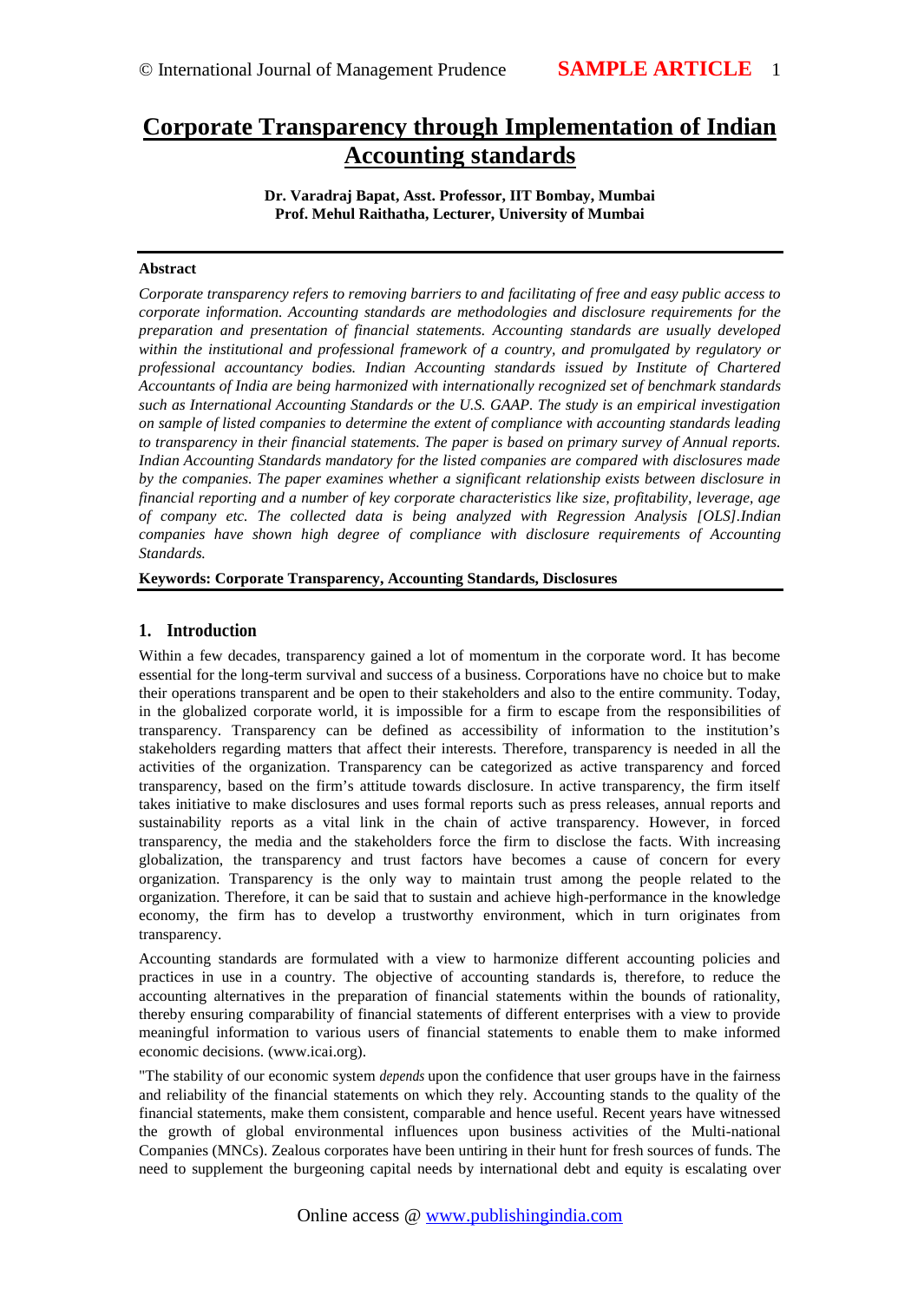# Corporate Transparency through Implementation of Indian Accounting standards

Dr. Varadraj Bapat, Asst. Professor IIT Bombay, Mumbai Prof. Mehul Raithatha, Lecturer, University of Mumbai

#### Abstract

Corporate transparency refers to removing barriers to farcolitating of free and easy public access to corporate information. Accounting standards are methodologies and disclosure requirements for the preparation and presentation of financial statements. Accounting standards are usually developed within the institutional and professional framework of a country, and promulgated by regulatory or professional accountancy bodies. Indian Accounting standards issued by Institute of Chartered Accountants of India are being harmonized with internationally recognized benchmark standards such as International Accounting Standards or the U.S. GAAP. The study is an empirical investigation on sample of listed companies to determine the extent of compliance with accounting standards leading to transparency in their finacial statements. The paper is based on primary survey of Annual reports. Indian Accounting Standards mandatory for the listed companies are compared with disclosures made by the companies. The paper examines whether a significant relationship existenbetis relationship financial reporting and a number of key corporate characteristics like size, profitability, leverage, age of company etc. The collected data is being analyzed with Regression Analysis Indubasi. companies have shown high degree of comple with disclosure requirements of Accounting Standards.

Keywords: Corporate Transparency, Accounting Standards, Disclosures

# 1. Introduction

Within a few decades, transparency gained a lot of momentum in the corporate word. It has become essentiafor the longterm survival and success of a business. Corporations have no choice but to make their operations transparent and be open to their stakeholders and also to the entire community. Today, in the globalized corporate world, it is impossible *tofirm* to escape from the responsibilities of transparency. Transparency can be defined as accessibility of information to the institution€s stakeholders regarding matters that affect their interests. Therefore, transparency is needed in all the activities of the organization. Transparency can be categorized as active transparency and forced transparency, based on the firm€s attitude towards disclosure. In active transparency, the firm itself takes initiative to make disclosures and uses formal reports appless releases, annual reports and sustainability reports as a vital link in the chain of active transparency. However, in forced transparency, the media and the stakeholders force the firm to disclose the facts. With increasing globalization, the trasparency and trust factors have becomes a cause of concern for every organization. Transparency is the only way to maintain trust among the people related to the organization. Therefore, it can be said that to sustain and achieved righmance in the lowledge economy, the firm has to develop a trustworthy environment, which in turn originates from transparency.

Accounting standards are formulated with a view to harmonize different accounting policies and practices in use in a country. The objective accounting standards is, therefore, to reduce the accounting alternatives in the preparation of financial statements within the bounds of rationality, thereby ensuring comparability of financial statements of different enterprises with a view to provide meaningful information to various users of financial statements to enable them to make informed economic decision <www.icai.org>).

"The stability of our economic systematiopendsupon the confidence that user groups have the fairness and reliability of the financial statements on which they rely. Accounting stantifice quality of the financial statements, make them consistent, comparable and hence useful. Recent years have witnessed the growth of global environmentah fluences upon business activities of the Multional Companies (MNCs). Zealous corporates have been untiring in their hunt for fresh sources of funds. The need to supplement the burgeoning capital needs by international debt and equity is escalating ov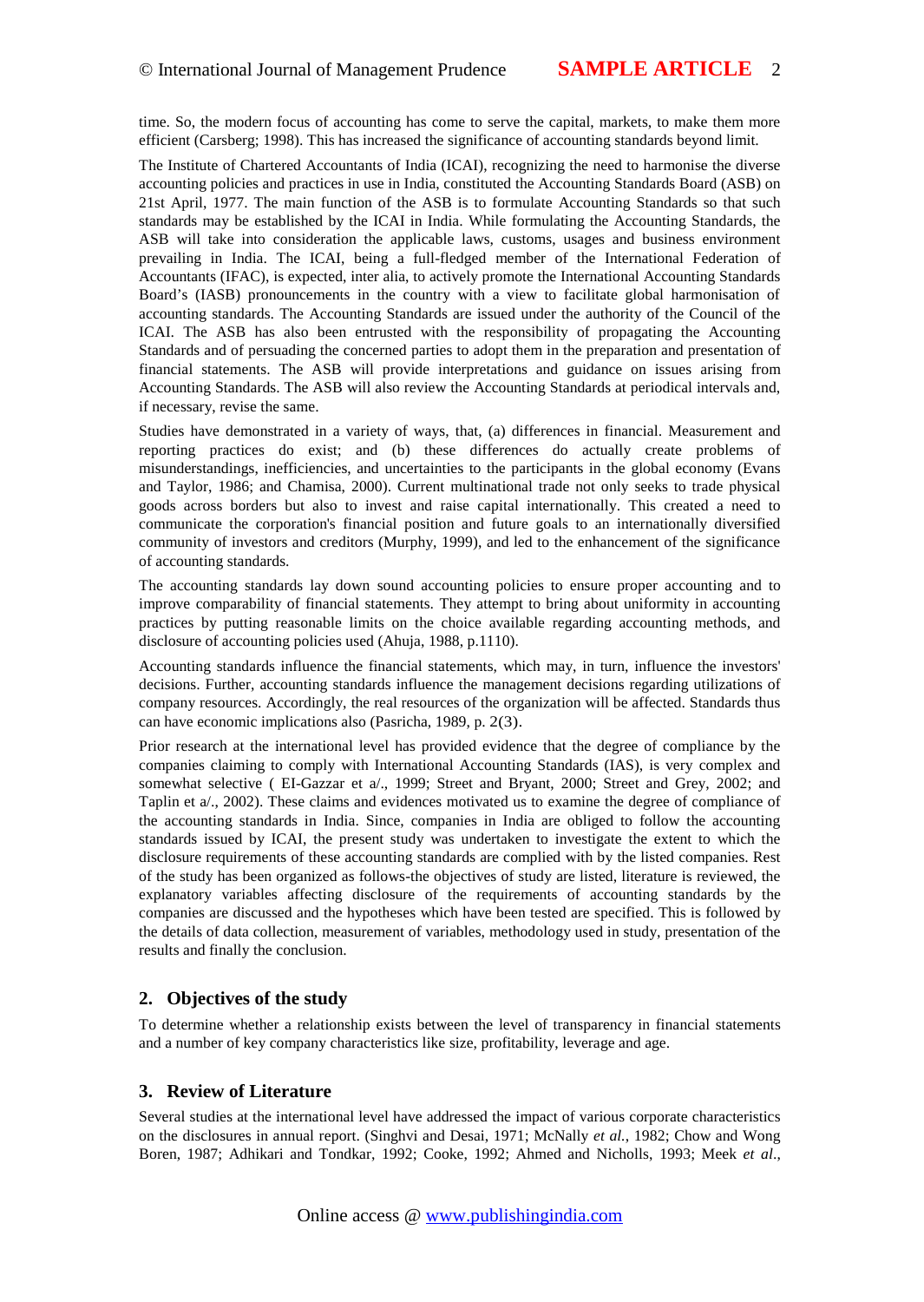# © International Journal of Management Prudence SAMPLE ARTICLE 2

time. So, the modern focus of accounting has come to serve the capital, markets, to make them more efficient (Carsberg; 1998). This has increased the significance of accounting standards beyond limit.

The Institute of Chartered Accountants of India (ICA ecognizing the need to harmonise the diverse accounting policies and practices in use in India, constituted the Accounting Standards Board (ASB) on 21st April, 1977. The main function of the ASB is to formulate Accounting Standards so that such standads may be established by the ICAI in India. While formulating the Accounting Standards, the ASB will take into consideration the applicable laws, customs, usages and business environment prevailing in India. The ICAI, being a fulledged member of the lernational Federation of Accountants (IFAC), is expected, inter alia, to actively promote the International Accounting Standards Board€s (IASB) pronouncements in the country with a view to facilitate global harmonisation of accounting standards. The Accoung Standards are issued under the authority of the Council of the ICAI. The ASB has also been entrusted with the responsibility of propagating the Accounting Standards and of persuading the concerned parties to adopt them in the preparation antiopresenta financial statements. The ASB will provide interpretations and guidance on issues arising from Accounting Standards. The ASB will also review the Accounting Standards at periodical intervals and, if necessary, revise the same.

Studies have demonated in a variety of ways, that, (a) differences in financial. Measurement and reporting practices do exist; and (b) these differences do actually create problems of misunderstandings, inefficiencies, and uncertainties to the participants in the glorinary  $\phi(E)$  vans and Taylor, 1986; and Chamisa, 2000). Current multinational trade not only seeks to trade physical goods across borders but also to invest and raise capital internationally. This created a need to communicate the corporation's financial positional future goals to an internationally diversified community of investors and creditors (Murphy, 1999), and led to the enhancement of the significance of accounting standards.

The accounting standards lay down sound accounting policies to ensure proportional and to improve comparability of financial statements. They attempt to bring about uniformity in accounting practices by putting reasonable limits on the choice available regarding accounting methods, and disclosure of accounting policies used (Adn 1988, p.1110).

Accounting standards influence the financial statements, which may, in turn, influence the investors' decisions. Further, accounting standards influence the management decisions regarding utilizations of company resources. According the real resources of the organization will be affected. Standards thus can have economic implications also (Pasricha, 1982), 33.

Prior research at the international level has provided evidence that the degree of compliance by the companies claiming to comply with International Accounting Standards (IAS), is very complex and somewhat selective ( EGB azzar et a/., 1999; Street and Bryant, 2000; Street and Grey, 2002; and Taplin et a/., 2002). These claims and evidences motivated us to examinerthe of exampliance of the accounting standards in India. Since, companies in India are obliged to follow the accounting standards issued by ICAI, the present study was undertaken to investigate the extent to which the disclosure requirements of these acdouneration are complied with by the listed companies. Rest of the study has been organized as follows objectives of study are listed, literature is reviewed, the explanatory variables affecting disclosure of the requirements of accounting standgardhes companies are discussed and the hypotheses which have been tested are specified. This is followed by the details of data collection, measurement of variables, methodology used in study, presentation of the results and finally the conclusion.

# 2. Objectives of the study

To determine whether a relationship exists between the level of transparency in financial statements and a number of key company characteristics like size, profitability, leverage and age.

# 3. Review of Literature

Several studies at the ternational level have addressed the impact of various corporate characteristics on the disclosures in annual report. (Singhvi and Desai, 1971; McNally 1982; Chow and Wong Boren, 1987; Adhikari and Tondkar, 1992; Cooke, 1992; Ahmed and NicholBS; Meeket al.,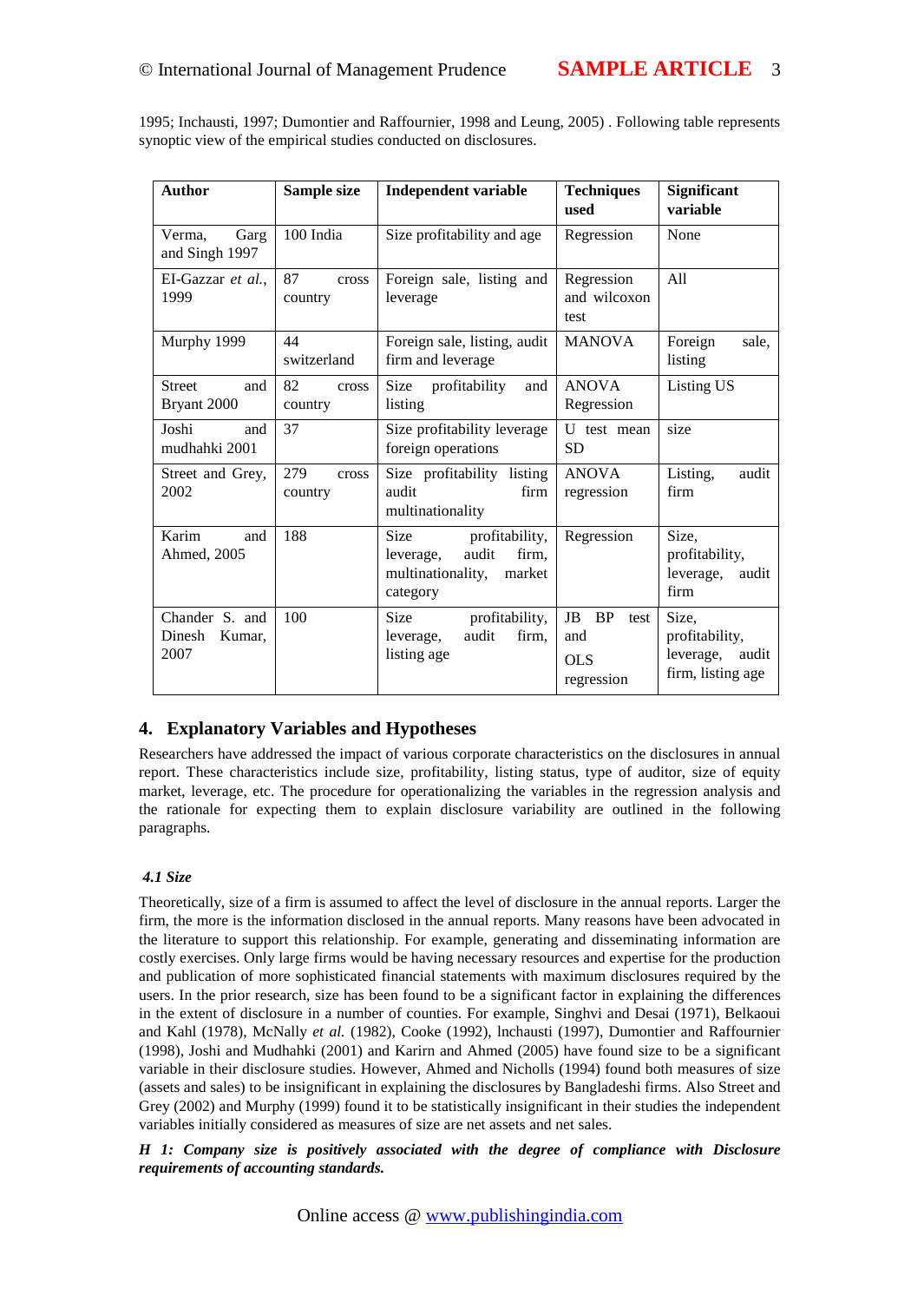1995; Inchausti, 1997; Dumontier and Raffournier, 1998 and Leung, 2005) . Following table represents synoptic view of the empirical studies conducted on disclosures.

| Author                                     | Sample size             | Independent variable<br><b>Techniques</b><br>used                                             |                                                                    | Significant<br>variable                                                 |
|--------------------------------------------|-------------------------|-----------------------------------------------------------------------------------------------|--------------------------------------------------------------------|-------------------------------------------------------------------------|
| Garg<br>Verma.<br>and Singh 1997           | 100 India               | Size profitability and age Regression                                                         |                                                                    | None                                                                    |
| El-Gazzaret al.<br>1999                    | 87<br>country           | leverage                                                                                      | cross Foreign sale, listing and Regression<br>and wilcoxon<br>test |                                                                         |
| Murphy 1999                                | 44<br>switzerland       | Foreign sale, listing, aud  MANOVA<br>firm and leverage                                       |                                                                    | Foreign<br>sale,<br>listing                                             |
| Street<br>and<br>Bryant 2000               | 82<br>cross<br>country  | Size<br>profitability<br>listing                                                              | and ANOVA<br>Regression                                            | Listing US                                                              |
| Joshi<br>and<br>mudhahki 2001              | 37                      | Size profitability leverage U test mean size<br>foreign operations<br><b>SD</b>               |                                                                    |                                                                         |
| Street ad Grey,<br>2002                    | 279<br>cross<br>country | Size profitability listing ANOVA<br>firm<br>audit<br>multinationality                         | regression                                                         | Listing,<br>audit<br>firm                                               |
| Karim<br>and<br>Ahmed, 2005                | 188                     | Size profitability,<br>audit<br>firm.<br>leverage,<br>multinationality,<br>market<br>category | Regression                                                         | Size,<br>profitability,<br>leverage, audit<br>firm                      |
| Chander S. and<br>Dinesh<br>Kumar.<br>2007 | 100                     | Size<br>profitability,<br>firm.<br>audit<br>leverage,<br>listing age                          | JB<br><b>BP</b><br>and<br><b>OLS</b><br>regression                 | test Size,<br>profitability,<br>leverage,<br>audit<br>firm, listing age |

# 4. Explanatory Variables and Hypotheses

Researcherbave addressed the impact of various corporate characteristics on the disclosures in annual report. These characteristics include size, profitability, listing status, type of auditor, size of equity market, leverage, etc. The procedure for operationalitring variables in the regression analysis and the rationale for expecting them to explain disclosure variability are outlined in the following paragraphs.

#### 4.1 Size

Theoretically, size of a firm is assumed to affect the level of disclosure in the **aenois**. Larger the firm, the more is the information disclosed in the annual reports. Many reasons have been advocated in the literature to support this relationship. For example, generating and disseminating information are costly exercises. Only lardurent would be having necessary resources and expertise for the production and publication of more sophisticated financial statements with maximum disclosures required by the users. In the prior research, size has been found to be a significant factolaining the differences in the extent of disclosure in a number of counties. For example, Singhvi and Desai (1971), Belkaoui and Kahl (1978), McNallyet al. (1982), Cooke(1992), lnchausti (1997), Dumontier and Raffournier (1998), Joshi and Mudhahki (200and Karirn and Ahmed (2005) have found size to be a significant variable in their disclosure studies. However, Ahmed and Nichtolls (1994) foundboth measures of size (assets and sales) to be insignificant in explaining the disclosures by Bangladeshi firm Street and Grey (2002) and Murphy (1999) found it to be statistically insignificant in their studies the independent variables initially considered as measures of size are net assets and net sales.

H 1: Company size is positively associated withe t degree of compliance with Disclosure requirements of accounting standards.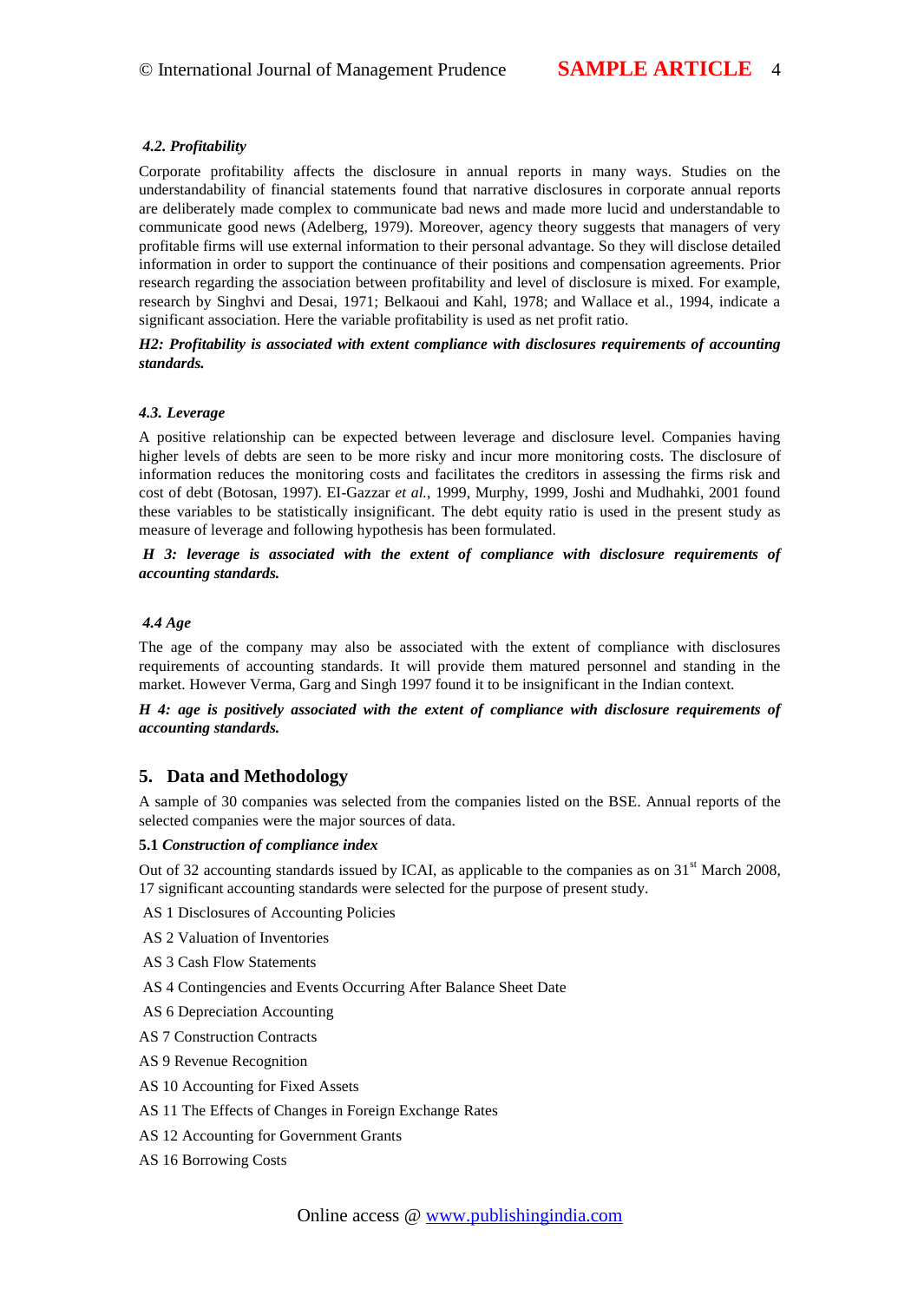#### 4.2. Profitability

Corporate profitability affects the disclosure in annual reports in many ways. Studies on the understandability of financial statements found that narradisclosures in corporate annual reports are deliberately made complex to communicate bad news and made more lucid and understandable to communicate good news (Adelberg, 1979). Moreover, agency theory suggests that managers of very profitable firms willuse external information to their personal advantage. So they will disclose detailed information in order to support the continuance of their positions and compensation agreements. Prior research regarding the association between profitability and level discure is mixed. For example, research by Singhvi and Desai, 1971; Belkaoui and Kahl, 1978; and Wallace et al., 1994, indicate a significant association. Here the variable profitability is used as net profit ratio.

H2: Profitability is associated with extent compliance with disclosures requirements of accounting standards.

#### 4.3. Leverage

A positive relationship can be expected between leverage and disclosure level. Companies having higher levels of debts are seen to be more risky and incur more monitoristic. The disclosure of information reduces the monitoring costs and facilitates the creditors in assessing the firms risk and cost of debt (Botosan, 1997). Elazzaret al., 1999, Murphy, 1999, Joshi and Mudhahki, 2001 found these variables to be statically insignificant. The debt equity ratio is used in the present study as measure of leverage and following hypothesis has been formulated.

H 3: leverage is associated with the extent of compliance with disclosure requirements of accounting standards.

#### 4.4 Age

The age of the company may also be associated with the extent of compliance with disclosures requirements of accounting standards. It will provide them matured personnel and standing in the market. However Verma, Garg and Singh 1997 found be to significant in the Indian context.

H 4: age is positively associated with the extent of compliance with disclosure requirements of accounting standards.

#### 5. Data and Methodology

A sample of 30 companies was selected from the companies listed on the BS and reports of the selected companies were the major sources of data.

5.1Construction of compliance index

Out of 32 accounting standards issued by ICAI, as applicable to the companies  $\frac{31}{100}$  and 32008, 17 significant accounting standards were sted for the purpose of present study.

- AS 1 Disclosures of Accounting Policies
- AS 2 Valuation of Inventories
- AS 3 Cash Flow Statements
- AS 4 Contingencies and Events Occurring After Balance Sheet Date
- AS 6 Depreciation Accounting
- AS 7 Construction 6ntracts
- AS 9 Revenue Recognition
- AS 10 Accounting for Fixed Assets
- AS 11 The Effects of Changes in Foreign Exchange Rates
- AS 12 Accounting for Government Grants
- AS 16 Borrowing Costs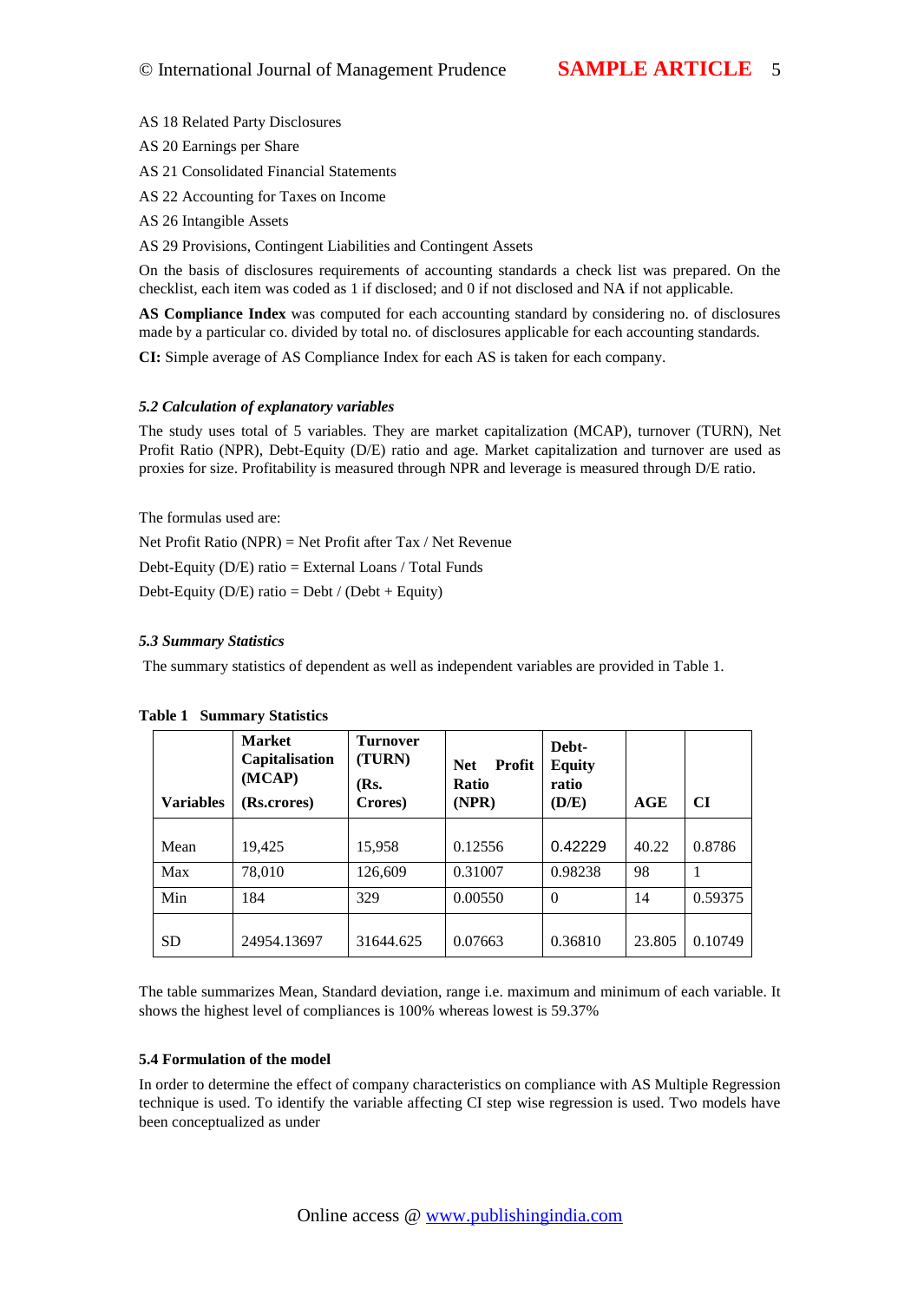AS 18 Related Party Disclosures

AS 20 Earnings per Share

AS 21 Consolidted Financial Statements

AS 22 Accounting for Taxes on Income

AS 26 Intangible Assets

AS 29 Provisions, Contingent Liabilities and Contingent Assets

On the basis of disclosures requirements of accounting standards a check list was prepared. On the checklist, each item was coded as 1 if disclosed; and 0 if not disclosed and NA if not applicable.

AS Compliance Index was computed for each accounting standard by considering no. of disclosures made by a particular co. divided by total no. of disclosures applicable ach accounting standards.

CI: Simple average of AS Compliance Index for each AS is taken for each company.

#### 5.2 Calculation of explanatory variables

The study uses total of 5 variables. They are market capitaliz(AMOAP), turnover(TURN), Net Profit Ratio (NPR), DebEquity (D/E) ratio and age. Market capitalization and turnover are used as proxies for size. Profitability is measured through NPR and leverage is measured through D/E ratio.

The formulas used are:

Net Profit Ratio (NPR) = Net Profafter Tax / Net Revenue Debt-Equity (D/E) ratio = External Loans / Total Funds

Debt-Equity ( $D/E$ ) ratio = Debt / (Debt + Equity)

# 5.3 Summary Statistics

The summary statistics of dependent as well as independent variables are provided in Table 1.

| Variables | Market<br>Capitalisation<br>(MCAP)<br>(Rs.crores) | Turnover<br>(TURN)<br>(Rs.<br>Crores) | Profit<br><b>Net</b><br>Ratio<br>(NPR) | Debt-<br>Equity<br>ratio<br>(D/E) | AGE    | CI      |
|-----------|---------------------------------------------------|---------------------------------------|----------------------------------------|-----------------------------------|--------|---------|
| Mean      | 19,425                                            | 15,958                                | 0.12556                                | 0.42229                           | 40.22  | 0.8786  |
| Max       | 78,010                                            | 126,609                               | 0.31007                                | 0.98238                           | 98     | 1       |
| Min       | 184                                               | 329                                   | 0.00550                                | $\Omega$                          | 14     | 0.59375 |
| <b>SD</b> | 24954.13697                                       | 31644.625                             | 0.07663                                | 0.36810                           | 23.805 | 0.10749 |

#### Table 1 Summary Statistics

The table summarizes Mean, Standard deviation, range i.e. maximum and minimum of each variable. It shows the highest level of compliances is 100% whereas lowest is 59.37%

#### 5.4 Formulation of the model

In order to deermine the effect of company characteristics on compliance with AS Multiple Regression technique is used. To identify the variable affecting CI step wise regression is used. Two models have been conceptualized as under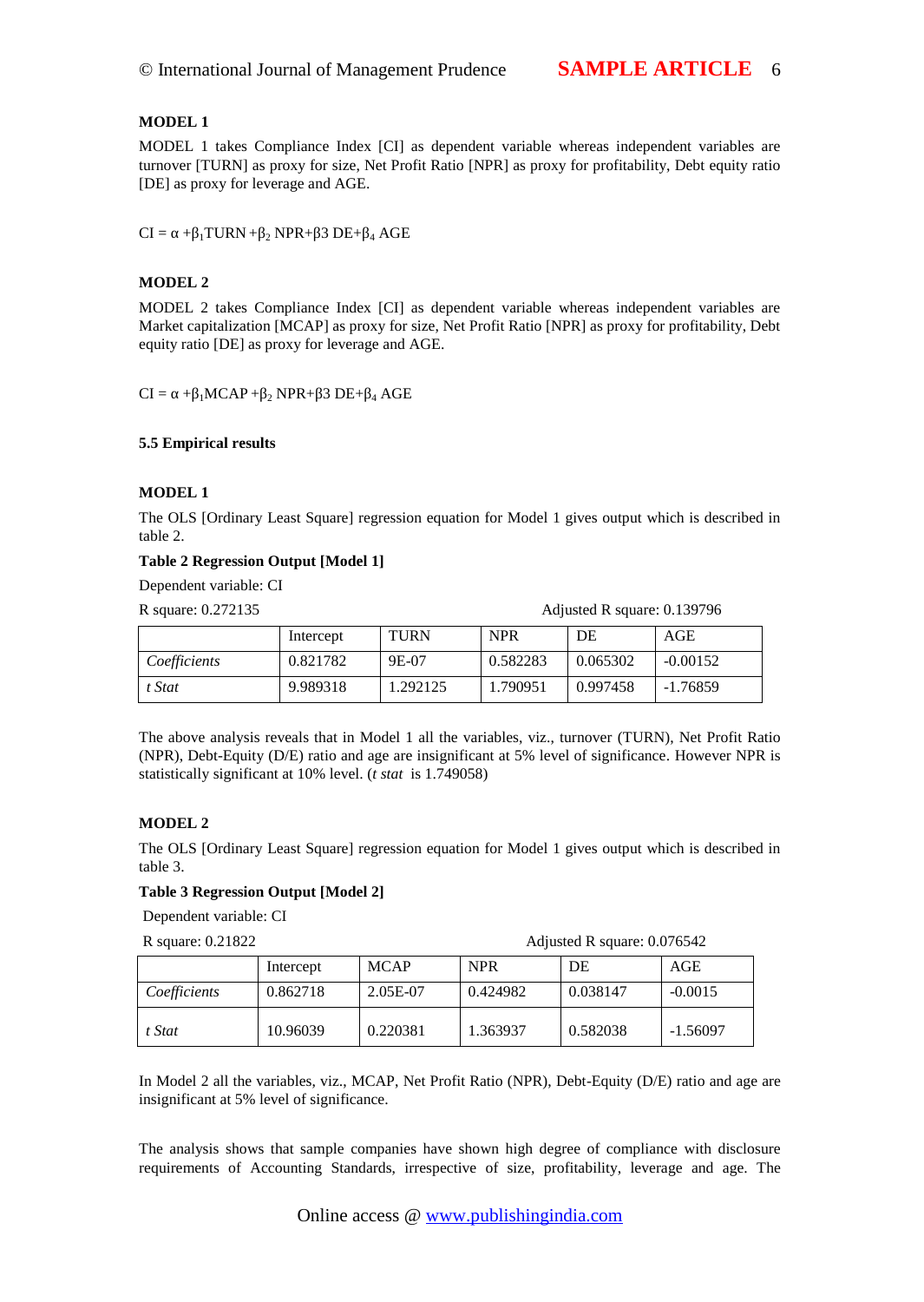## MODEL 1

MODEL 1 takes Compliance dex [CI] as dependent variable whereas independent variables are turnover [TURN] as proxy for size, Net Profit Ratio [NPR] as proxy for profitability, Debt equity ratio [DE] as proxy for leverage and AGE.

 $CI = \cdot + \frac{1}{4} TURN + \frac{1}{2} NPR + \frac{3}{4} DE + \frac{1}{4} AGE$ 

#### MODEL 2

MODEL 2 takes Compliance Index [CI] as dependent variable whereas independent variables are Market capitalization [MCAP] as proxy for size, Net Profit Ratio [NPR] as proxy for profitability, Debt equity ratio [DE] as proxy for leverage and AGE.

 $CI = \bullet +_{11} MCAP +_{12} NPR +_{13} DE +_{14} AGE$ 

5.5 Empirical results

MODEL 1

The OLS [Ordinary Least Square] regression equation for Model 1 gives output which is described in table 2.

Table 2 Regression Output [Model 1]

Dependent variable: CI

R square: 0.272135 Adjusted R square: 0.139796

|              | Intercept | TURN     | <b>NPR</b> | DE       | AGE        |
|--------------|-----------|----------|------------|----------|------------|
| Coefficients | 0.821782  | 9E-07    | 0.582283   | 0.065302 | $-0.00152$ |
| t Stat       | 9.989318  | 1.292125 | 1.790951   | 0.997458 | -1.76859   |

The above analysis reveals that in Model 1 all the variables, viz., turn to which Profit Ratio (NPR), DebtEquity (D/E) ratio and age are insignificant at 5% level of significahlce wever NPR is statistically significant at 10% level ( tat is 1.749058)

MODEL 2

The OLS [Ordinary Least Square] regression equation for Model 1 gives output which is described in table 3.

Table 3 Regression Output [Model 2]

Dependent variable: CI

R square: 0.21822 Adjusted R square: 0.076542

|              | Intercept | <b>MCAP</b> | <b>NPR</b> | DE       | AGE       |
|--------------|-----------|-------------|------------|----------|-----------|
| Coefficients | 0.862718  | 2.05E07     | 0.424982   | 0.038147 | $-0.0015$ |
| t Stat       | 10.96039  | 0.220381    | 1.363937   | 0.582038 | -1.56097  |

In Model 2 all the variables, viz., MCAP, Net Profit Ratio (NPR), Debtuity (D/E) ratio and age are insignificant at 5% level of significance.

The analysis shows that sample companies have shown high degree of compliance with disclosure requirements to Accounting Standards, irrespective of size, profitability, leverage and age. The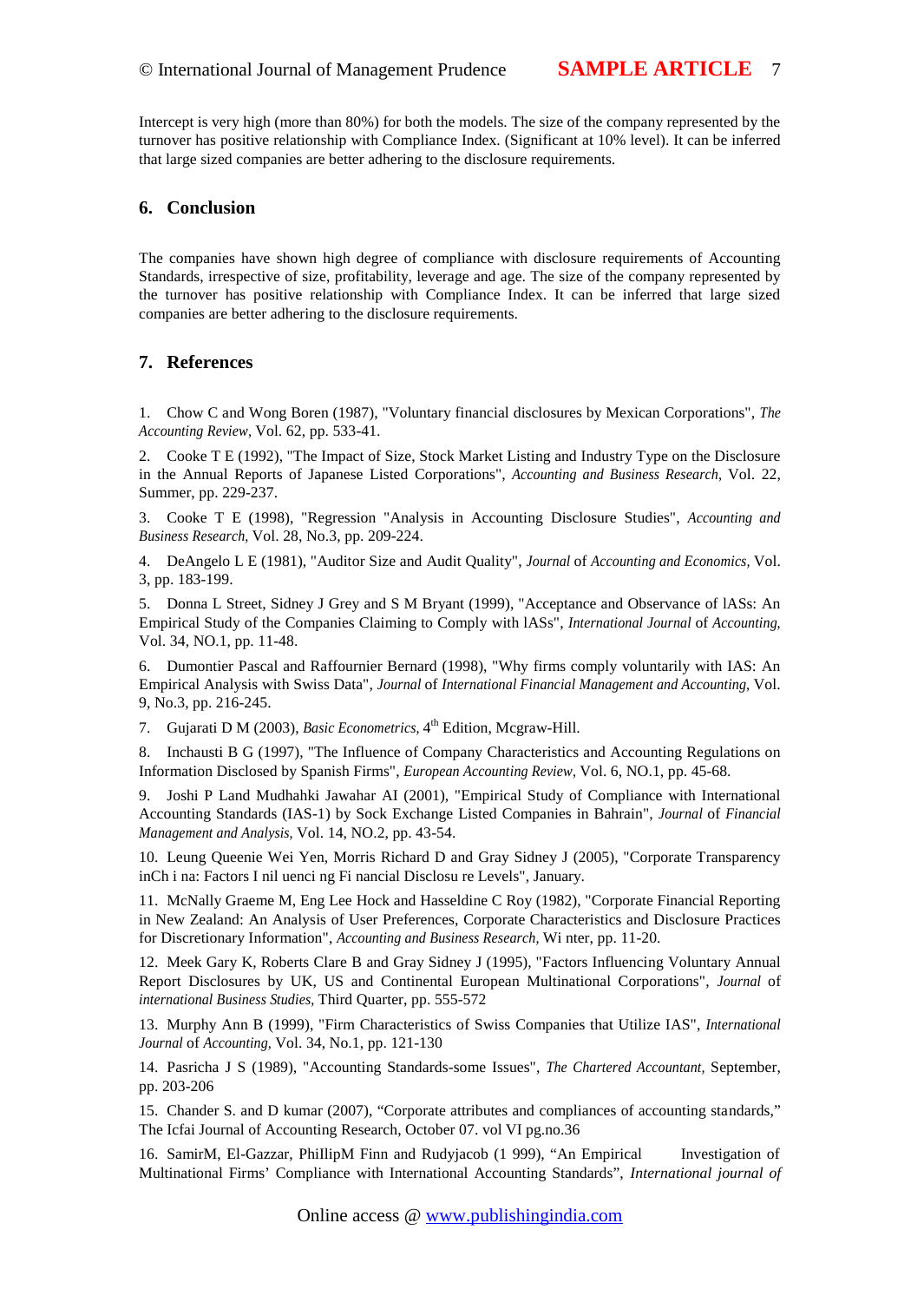Intercept is very high (more than 80%) for both the models. The size of the company represented by the turnover has positive relationship with Compliance Index. (Significant 0% level). It can be inferred that large sized companies are better adhering to the disclosure requirements.

# 6. Conclusion

The companies have shown high degree of compliance with disclosure requirements of Accounting Standards, irrespective of sizeofitability, leverage and age. The size of the company represented by the turnover has positive relationship with Compliance Index. It can be inferred that large sized companies are better adhering to the disclosure requirements.

# 7. References

1. Chow C and Wong Boren (1987), "Voluntary financial disclosures by Mexican Corporations", Accounting Review/ol. 62, pp. 53341.

2. Cooke T E (1992), "The Impact of Size, Stock Market Listing and Industry Type on the Disclosure in the Annual Reports of Japanesisted Corporations"Accounting and Business Researchol. 22, Summer, pp. 229237.

3. Cooke T E (1998), "Regression "Analysis in Accounting Disclosure Studiess "and and Business Research(pl. 28, No.3, pp. 20224.

4. DeAngelo L E (1981), "Auditor ise and Audit Quality" Journal of Accounting and Economics (ol. 3, pp. 183199.

5. Donna L Street, Sidney J Grey and S M Bryant (1999), "Acceptance and Observance of lASs: An Empirical Study of the Companies Claiming to Comply with IAS sternational Jounal of Accounting, Vol. 34, NO.1, pp. 1448.

6. Dumontier Pascal and Raffournier Bernard (1998), "Why firms comply voluntarily with IAS: An Empirical Analysis with Swiss Data Journal of International Financial Management and Accounting, I. 9, No.3, pp216-245.

7. Gujarati D M (2003) Basic Econometrics<sup>th</sup> Edition, McgrawHill.

8. Inchausti B G (1997), "The Influence of Company Characteristics and Accounting Regulations on Information Disclosed by Spanish Firm European Accounting Review pl. 6, NO.1, pp. 4568.

9. Joshi P Land Mudhahki Jawahar AI (2001), "Empirical Study of Compliance with International Accounting Standards (IAS) by Sock Exchange Listed Companies in Bahraln "unal of Financial" Management and Analysigol. 14, NO.2, pp. 4354.

10. Leung Queenie Wei Yen, Morris Richard D and Gray Sidney J (2005), "Corporate Transparency inCh i na: Factors I nil uenci ng Fi nancial Disclosu re Levels", January.

11. McNally Graeme M, Eng Lee Hock and Hasseldine C Roy (1982), "Corporate Financial Reporting in New Zealand: An Analysis of User Preferences, Corporate Characteristics and Disclosure Practices for Discretionary Information",Accounting and Business Research, nter, pp. 1120.

12. Meek Gary K, Roberts Clare B and Gray Sidney J (1995), "Factors Infrue braintary Annual Report Disclosures by UK, US and Continental European Multinational Corporationshal of international Business Studieshird Quarter, pp. 55572

13. Murphy Ann B (1999), "Firm Characteristics of Swiss Companies that Utilize IAS Emational Journal of Accounting, Vol. 34, No.1, pp. 12-1130

14. Pasricha J S (1989), "Accounting Standards en Issues"The Chartered Accountant September, pp. 203206

15. Chander S. and D kumar (2007), *f* Corporate attributes and compliances of accoundiard sta The Icfai Journal of Accounting Research, October 07. vol VI pg.no.36

16. SamirM, El-Gazzar, PhillipM Finn and Rudyjacob (1 999), fAn Empirical Investigation of Multinational Firms€ Compliance with International Accounting Standardser national journal of